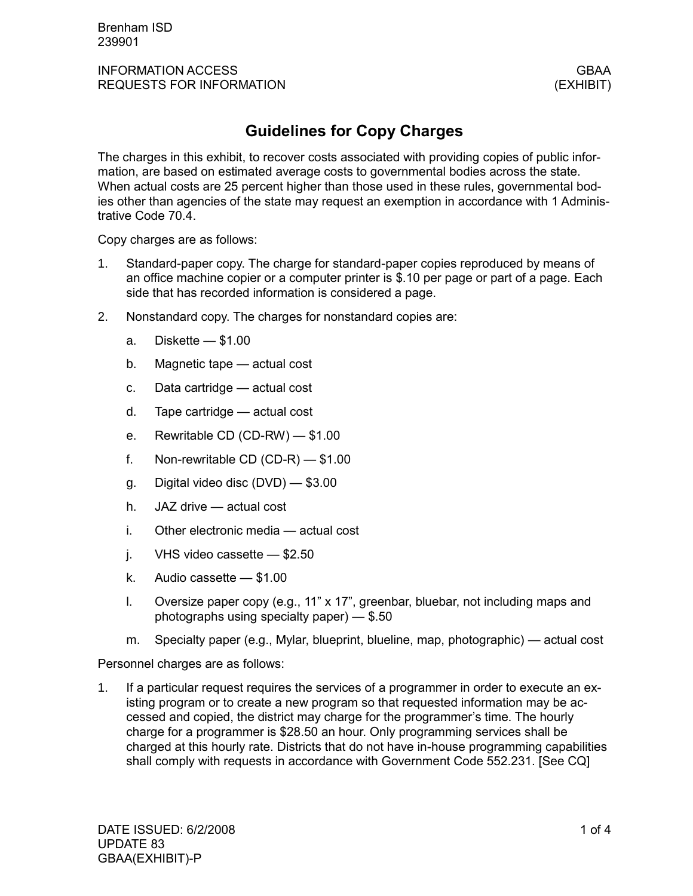## **Guidelines for Copy Charges**

The charges in this exhibit, to recover costs associated with providing copies of public information, are based on estimated average costs to governmental bodies across the state. When actual costs are 25 percent higher than those used in these rules, governmental bodies other than agencies of the state may request an exemption in accordance with 1 Administrative Code 70.4.

Copy charges are as follows:

- 1. Standard-paper copy. The charge for standard-paper copies reproduced by means of an office machine copier or a computer printer is \$.10 per page or part of a page. Each side that has recorded information is considered a page.
- 2. Nonstandard copy. The charges for nonstandard copies are:
	- a. Diskette \$1.00
	- b. Magnetic tape actual cost
	- c. Data cartridge actual cost
	- d. Tape cartridge actual cost
	- e. Rewritable CD (CD-RW) \$1.00
	- f. Non-rewritable CD (CD-R) \$1.00
	- g. Digital video disc (DVD) \$3.00
	- h. JAZ drive actual cost
	- i. Other electronic media actual cost
	- j. VHS video cassette \$2.50
	- k. Audio cassette \$1.00
	- l. Oversize paper copy (e.g., 11" x 17", greenbar, bluebar, not including maps and photographs using specialty paper) — \$.50
	- m. Specialty paper (e.g., Mylar, blueprint, blueline, map, photographic) actual cost

Personnel charges are as follows:

1. If a particular request requires the services of a programmer in order to execute an existing program or to create a new program so that requested information may be accessed and copied, the district may charge for the programmer's time. The hourly charge for a programmer is \$28.50 an hour. Only programming services shall be charged at this hourly rate. Districts that do not have in-house programming capabilities shall comply with requests in accordance with Government Code 552.231. [See CQ]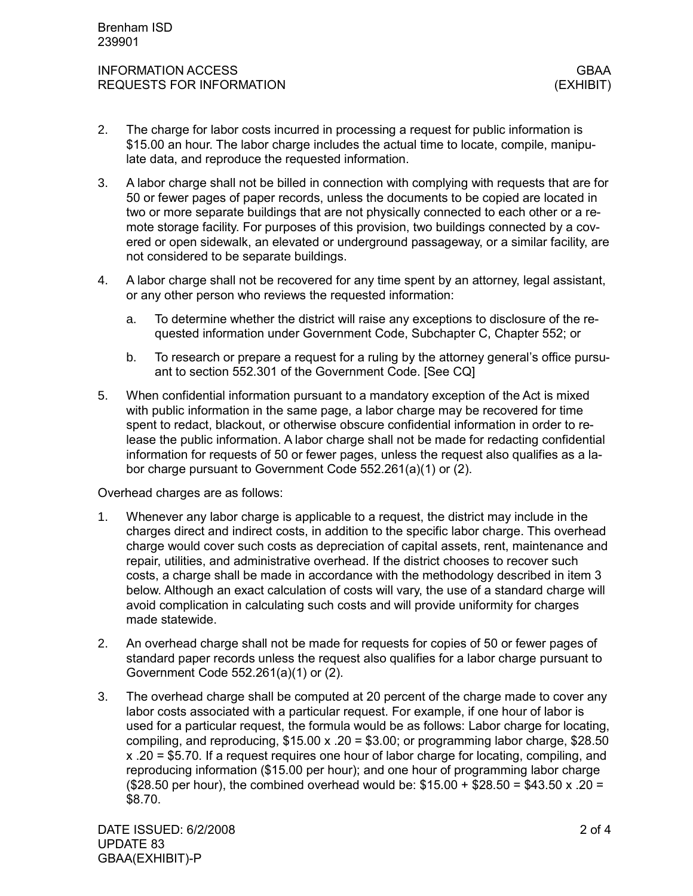- 2. The charge for labor costs incurred in processing a request for public information is \$15.00 an hour. The labor charge includes the actual time to locate, compile, manipulate data, and reproduce the requested information.
- 3. A labor charge shall not be billed in connection with complying with requests that are for 50 or fewer pages of paper records, unless the documents to be copied are located in two or more separate buildings that are not physically connected to each other or a remote storage facility. For purposes of this provision, two buildings connected by a covered or open sidewalk, an elevated or underground passageway, or a similar facility, are not considered to be separate buildings.
- 4. A labor charge shall not be recovered for any time spent by an attorney, legal assistant, or any other person who reviews the requested information:
	- a. To determine whether the district will raise any exceptions to disclosure of the requested information under Government Code, Subchapter C, Chapter 552; or
	- b. To research or prepare a request for a ruling by the attorney general's office pursuant to section 552.301 of the Government Code. [See CQ]
- 5. When confidential information pursuant to a mandatory exception of the Act is mixed with public information in the same page, a labor charge may be recovered for time spent to redact, blackout, or otherwise obscure confidential information in order to release the public information. A labor charge shall not be made for redacting confidential information for requests of 50 or fewer pages, unless the request also qualifies as a labor charge pursuant to Government Code 552.261(a)(1) or (2).

Overhead charges are as follows:

- 1. Whenever any labor charge is applicable to a request, the district may include in the charges direct and indirect costs, in addition to the specific labor charge. This overhead charge would cover such costs as depreciation of capital assets, rent, maintenance and repair, utilities, and administrative overhead. If the district chooses to recover such costs, a charge shall be made in accordance with the methodology described in item 3 below. Although an exact calculation of costs will vary, the use of a standard charge will avoid complication in calculating such costs and will provide uniformity for charges made statewide.
- 2. An overhead charge shall not be made for requests for copies of 50 or fewer pages of standard paper records unless the request also qualifies for a labor charge pursuant to Government Code 552.261(a)(1) or (2).
- 3. The overhead charge shall be computed at 20 percent of the charge made to cover any labor costs associated with a particular request. For example, if one hour of labor is used for a particular request, the formula would be as follows: Labor charge for locating, compiling, and reproducing,  $$15.00 \times .20 = $3.00$ ; or programming labor charge,  $$28.50$ x .20 = \$5.70. If a request requires one hour of labor charge for locating, compiling, and reproducing information (\$15.00 per hour); and one hour of programming labor charge (\$28.50 per hour), the combined overhead would be:  $$15.00 + $28.50 = $43.50 \times .20 =$ \$8.70.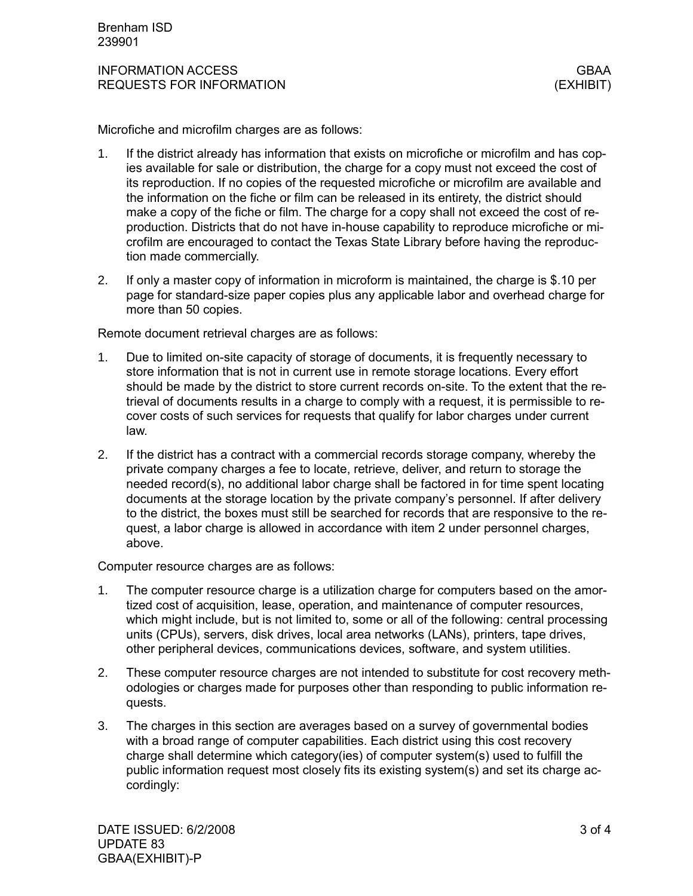Microfiche and microfilm charges are as follows:

- 1. If the district already has information that exists on microfiche or microfilm and has copies available for sale or distribution, the charge for a copy must not exceed the cost of its reproduction. If no copies of the requested microfiche or microfilm are available and the information on the fiche or film can be released in its entirety, the district should make a copy of the fiche or film. The charge for a copy shall not exceed the cost of reproduction. Districts that do not have in-house capability to reproduce microfiche or microfilm are encouraged to contact the Texas State Library before having the reproduction made commercially.
- 2. If only a master copy of information in microform is maintained, the charge is \$.10 per page for standard-size paper copies plus any applicable labor and overhead charge for more than 50 copies.

Remote document retrieval charges are as follows:

- 1. Due to limited on-site capacity of storage of documents, it is frequently necessary to store information that is not in current use in remote storage locations. Every effort should be made by the district to store current records on-site. To the extent that the retrieval of documents results in a charge to comply with a request, it is permissible to recover costs of such services for requests that qualify for labor charges under current law.
- 2. If the district has a contract with a commercial records storage company, whereby the private company charges a fee to locate, retrieve, deliver, and return to storage the needed record(s), no additional labor charge shall be factored in for time spent locating documents at the storage location by the private company's personnel. If after delivery to the district, the boxes must still be searched for records that are responsive to the request, a labor charge is allowed in accordance with item 2 under personnel charges, above.

Computer resource charges are as follows:

- 1. The computer resource charge is a utilization charge for computers based on the amortized cost of acquisition, lease, operation, and maintenance of computer resources, which might include, but is not limited to, some or all of the following: central processing units (CPUs), servers, disk drives, local area networks (LANs), printers, tape drives, other peripheral devices, communications devices, software, and system utilities.
- 2. These computer resource charges are not intended to substitute for cost recovery methodologies or charges made for purposes other than responding to public information requests.
- 3. The charges in this section are averages based on a survey of governmental bodies with a broad range of computer capabilities. Each district using this cost recovery charge shall determine which category(ies) of computer system(s) used to fulfill the public information request most closely fits its existing system(s) and set its charge accordingly: